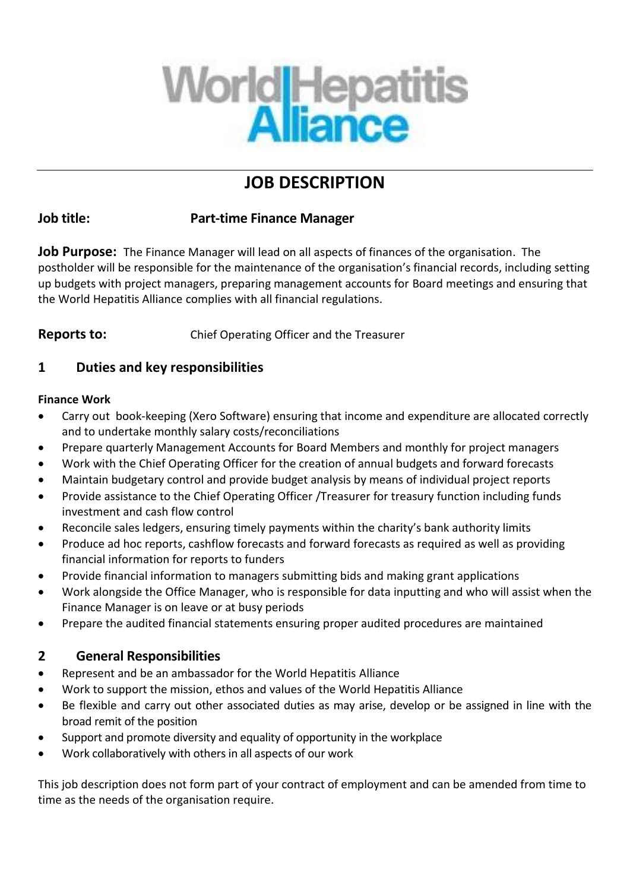

# **JOB DESCRIPTION**

## **Job title: Part-time Finance Manager**

**Job Purpose:** The Finance Manager will lead on all aspects of finances of the organisation. The postholder will be responsible for the maintenance of the organisation's financial records, including setting up budgets with project managers, preparing management accounts for Board meetings and ensuring that the World Hepatitis Alliance complies with all financial regulations.

**Reports to:** Chief Operating Officer and the Treasurer

## **1 Duties and key responsibilities**

## **Finance Work**

- Carry out book-keeping (Xero Software) ensuring that income and expenditure are allocated correctly and to undertake monthly salary costs/reconciliations
- Prepare quarterly Management Accounts for Board Members and monthly for project managers
- Work with the Chief Operating Officer for the creation of annual budgets and forward forecasts
- Maintain budgetary control and provide budget analysis by means of individual project reports
- Provide assistance to the Chief Operating Officer /Treasurer for treasury function including funds investment and cash flow control
- Reconcile sales ledgers, ensuring timely payments within the charity's bank authority limits
- Produce ad hoc reports, cashflow forecasts and forward forecasts as required as well as providing financial information for reports to funders
- Provide financial information to managers submitting bids and making grant applications
- Work alongside the Office Manager, who is responsible for data inputting and who will assist when the Finance Manager is on leave or at busy periods
- Prepare the audited financial statements ensuring proper audited procedures are maintained

## **2 General Responsibilities**

- Represent and be an ambassador for the World Hepatitis Alliance
- Work to support the mission, ethos and values of the World Hepatitis Alliance
- Be flexible and carry out other associated duties as may arise, develop or be assigned in line with the broad remit of the position
- Support and promote diversity and equality of opportunity in the workplace
- Work collaboratively with others in all aspects of our work

This job description does not form part of your contract of employment and can be amended from time to time as the needs of the organisation require.